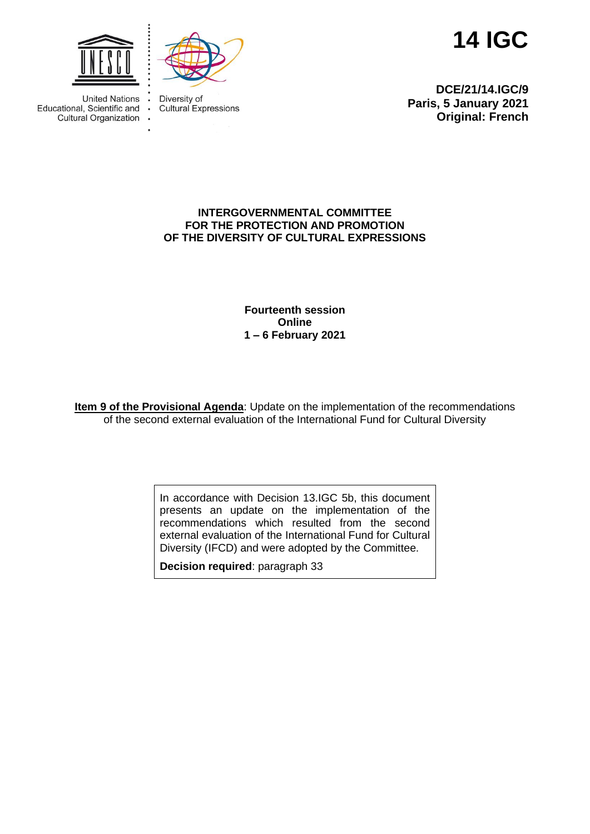

 $\ddot{\phantom{a}}$ 



**14 IGC**

United Nations . Educational, Scientific and Cultural Organization .

Diversity of **Cultural Expressions** 

**DCE/21/14.IGC/9 Paris, 5 January 2021 Original: French**

#### **INTERGOVERNMENTAL COMMITTEE FOR THE PROTECTION AND PROMOTION OF THE DIVERSITY OF CULTURAL EXPRESSIONS**

**Fourteenth session Online 1 – 6 February 2021**

**Item 9 of the Provisional Agenda**: Update on the implementation of the recommendations of the second external evaluation of the International Fund for Cultural Diversity

> In accordance with Decision 13.IGC 5b, this document presents an update on the implementation of the recommendations which resulted from the second external evaluation of the International Fund for Cultural Diversity (IFCD) and were adopted by the Committee.

**Decision required**: paragraph 33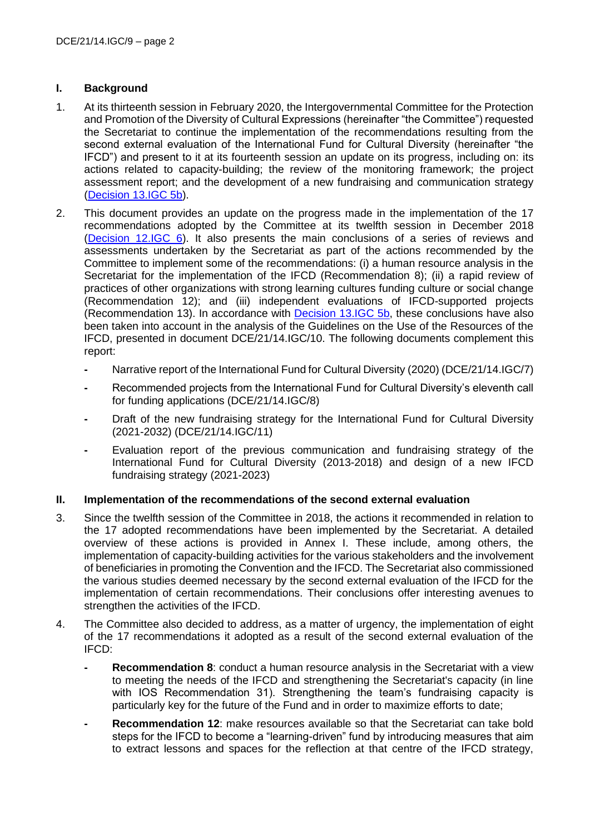### **I. Background**

- 1. At its thirteenth session in February 2020, the Intergovernmental Committee for the Protection and Promotion of the Diversity of Cultural Expressions (hereinafter "the Committee") requested the Secretariat to continue the implementation of the recommendations resulting from the second external evaluation of the International Fund for Cultural Diversity (hereinafter "the IFCD") and present to it at its fourteenth session an update on its progress, including on: its actions related to capacity-building; the review of the monitoring framework; the project assessment report; and the development of a new fundraising and communication strategy [\(Decision 13.IGC 5b\)](https://en.unesco.org/creativity/sites/creativity/files/sessions/13igc_decisions_en.pdf).
- 2. This document provides an update on the progress made in the implementation of the 17 recommendations adopted by the Committee at its twelfth session in December 2018 [\(Decision 12.IGC 6\)](https://en.unesco.org/creativity/sites/creativity/files/12igc_decisions_en.pdf). It also presents the main conclusions of a series of reviews and assessments undertaken by the Secretariat as part of the actions recommended by the Committee to implement some of the recommendations: (i) a human resource analysis in the Secretariat for the implementation of the IFCD (Recommendation 8); (ii) a rapid review of practices of other organizations with strong learning cultures funding culture or social change (Recommendation 12); and (iii) independent evaluations of IFCD-supported projects (Recommendation 13). In accordance with [Decision 13.IGC 5b,](https://en.unesco.org/creativity/sites/creativity/files/sessions/13igc_decisions_en.pdf) these conclusions have also been taken into account in the analysis of the Guidelines on the Use of the Resources of the IFCD, presented in document DCE/21/14.IGC/10. The following documents complement this report:
	- **-** Narrative report of the International Fund for Cultural Diversity (2020) (DCE/21/14.IGC/7)
	- **-** Recommended projects from the International Fund for Cultural Diversity's eleventh call for funding applications (DCE/21/14.IGC/8)
	- **-** Draft of the new fundraising strategy for the International Fund for Cultural Diversity (2021-2032) (DCE/21/14.IGC/11)
	- **-** Evaluation report of the previous communication and fundraising strategy of the International Fund for Cultural Diversity (2013-2018) and design of a new IFCD fundraising strategy (2021-2023)

### **II. Implementation of the recommendations of the second external evaluation**

- 3. Since the twelfth session of the Committee in 2018, the actions it recommended in relation to the 17 adopted recommendations have been implemented by the Secretariat. A detailed overview of these actions is provided in Annex I. These include, among others, the implementation of capacity-building activities for the various stakeholders and the involvement of beneficiaries in promoting the Convention and the IFCD. The Secretariat also commissioned the various studies deemed necessary by the second external evaluation of the IFCD for the implementation of certain recommendations. Their conclusions offer interesting avenues to strengthen the activities of the IFCD.
- 4. The Committee also decided to address, as a matter of urgency, the implementation of eight of the 17 recommendations it adopted as a result of the second external evaluation of the IFCD:
	- **- Recommendation 8**: conduct a human resource analysis in the Secretariat with a view to meeting the needs of the IFCD and strengthening the Secretariat's capacity (in line with IOS Recommendation 31). Strengthening the team's fundraising capacity is particularly key for the future of the Fund and in order to maximize efforts to date;
	- **- Recommendation 12**: make resources available so that the Secretariat can take bold steps for the IFCD to become a "learning-driven" fund by introducing measures that aim to extract lessons and spaces for the reflection at that centre of the IFCD strategy,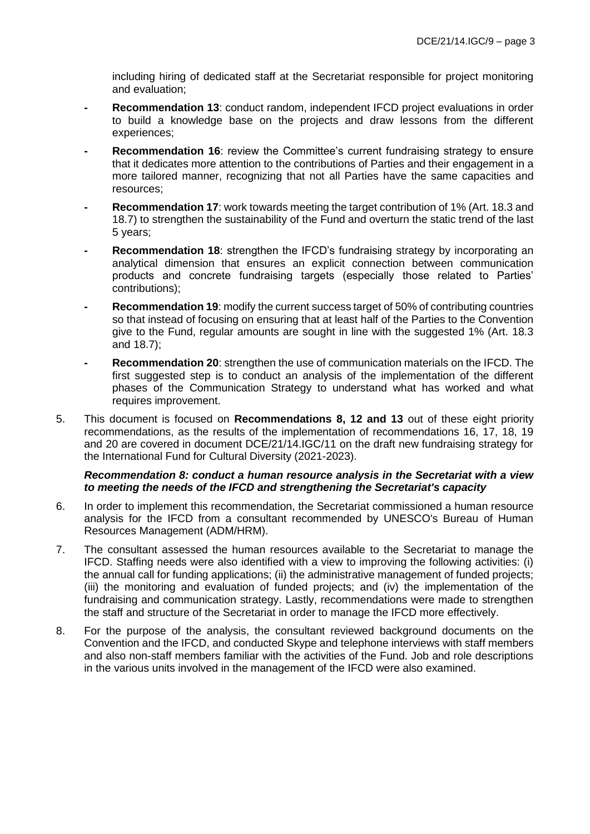including hiring of dedicated staff at the Secretariat responsible for project monitoring and evaluation;

- **- Recommendation 13**: conduct random, independent IFCD project evaluations in order to build a knowledge base on the projects and draw lessons from the different experiences;
- **- Recommendation 16**: review the Committee's current fundraising strategy to ensure that it dedicates more attention to the contributions of Parties and their engagement in a more tailored manner, recognizing that not all Parties have the same capacities and resources;
- **- Recommendation 17**: work towards meeting the target contribution of 1% (Art. 18.3 and 18.7) to strengthen the sustainability of the Fund and overturn the static trend of the last 5 years;
- **Recommendation 18:** strengthen the IFCD's fundraising strategy by incorporating an analytical dimension that ensures an explicit connection between communication products and concrete fundraising targets (especially those related to Parties' contributions);
- **- Recommendation 19**: modify the current success target of 50% of contributing countries so that instead of focusing on ensuring that at least half of the Parties to the Convention give to the Fund, regular amounts are sought in line with the suggested 1% (Art. 18.3 and 18.7);
- **- Recommendation 20**: strengthen the use of communication materials on the IFCD. The first suggested step is to conduct an analysis of the implementation of the different phases of the Communication Strategy to understand what has worked and what requires improvement.
- 5. This document is focused on **Recommendations 8, 12 and 13** out of these eight priority recommendations, as the results of the implementation of recommendations 16, 17, 18, 19 and 20 are covered in document DCE/21/14.IGC/11 on the draft new fundraising strategy for the International Fund for Cultural Diversity (2021-2023).

#### *Recommendation 8: conduct a human resource analysis in the Secretariat with a view to meeting the needs of the IFCD and strengthening the Secretariat's capacity*

- 6. In order to implement this recommendation, the Secretariat commissioned a human resource analysis for the IFCD from a consultant recommended by UNESCO's Bureau of Human Resources Management (ADM/HRM).
- 7. The consultant assessed the human resources available to the Secretariat to manage the IFCD. Staffing needs were also identified with a view to improving the following activities: (i) the annual call for funding applications; (ii) the administrative management of funded projects; (iii) the monitoring and evaluation of funded projects; and (iv) the implementation of the fundraising and communication strategy. Lastly, recommendations were made to strengthen the staff and structure of the Secretariat in order to manage the IFCD more effectively.
- 8. For the purpose of the analysis, the consultant reviewed background documents on the Convention and the IFCD, and conducted Skype and telephone interviews with staff members and also non-staff members familiar with the activities of the Fund. Job and role descriptions in the various units involved in the management of the IFCD were also examined.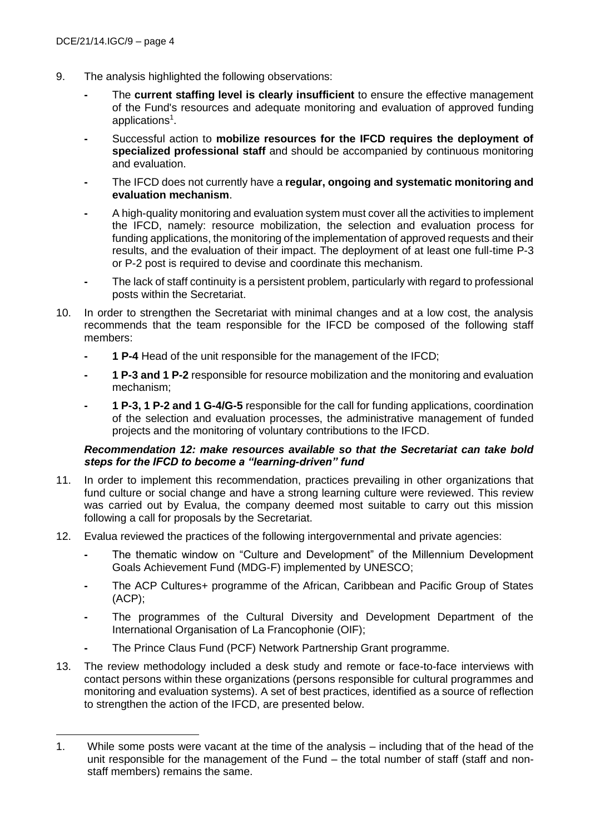- 9. The analysis highlighted the following observations:
	- **-** The **current staffing level is clearly insufficient** to ensure the effective management of the Fund's resources and adequate monitoring and evaluation of approved funding applications<sup>1</sup>.
	- **-** Successful action to **mobilize resources for the IFCD requires the deployment of specialized professional staff** and should be accompanied by continuous monitoring and evaluation.
	- **-** The IFCD does not currently have a **regular, ongoing and systematic monitoring and evaluation mechanism**.
	- **-** A high-quality monitoring and evaluation system must cover all the activities to implement the IFCD, namely: resource mobilization, the selection and evaluation process for funding applications, the monitoring of the implementation of approved requests and their results, and the evaluation of their impact. The deployment of at least one full-time P-3 or P-2 post is required to devise and coordinate this mechanism.
	- **-** The lack of staff continuity is a persistent problem, particularly with regard to professional posts within the Secretariat.
- 10. In order to strengthen the Secretariat with minimal changes and at a low cost, the analysis recommends that the team responsible for the IFCD be composed of the following staff members:
	- **- 1 P-4** Head of the unit responsible for the management of the IFCD;
	- **- 1 P-3 and 1 P-2** responsible for resource mobilization and the monitoring and evaluation mechanism;
	- **- 1 P-3, 1 P-2 and 1 G-4/G-5** responsible for the call for funding applications, coordination of the selection and evaluation processes, the administrative management of funded projects and the monitoring of voluntary contributions to the IFCD.

### *Recommendation 12: make resources available so that the Secretariat can take bold steps for the IFCD to become a "learning-driven" fund*

- 11. In order to implement this recommendation, practices prevailing in other organizations that fund culture or social change and have a strong learning culture were reviewed. This review was carried out by Evalua, the company deemed most suitable to carry out this mission following a call for proposals by the Secretariat.
- 12. Evalua reviewed the practices of the following intergovernmental and private agencies:
	- **-** The thematic window on "Culture and Development" of the Millennium Development Goals Achievement Fund (MDG-F) implemented by UNESCO;
	- **-** The ACP Cultures+ programme of the African, Caribbean and Pacific Group of States (ACP);
	- **-** The programmes of the Cultural Diversity and Development Department of the International Organisation of La Francophonie (OIF);
	- **-** The Prince Claus Fund (PCF) Network Partnership Grant programme.
- 13. The review methodology included a desk study and remote or face-to-face interviews with contact persons within these organizations (persons responsible for cultural programmes and monitoring and evaluation systems). A set of best practices, identified as a source of reflection to strengthen the action of the IFCD, are presented below.

<sup>1.</sup> While some posts were vacant at the time of the analysis – including that of the head of the unit responsible for the management of the Fund – the total number of staff (staff and nonstaff members) remains the same.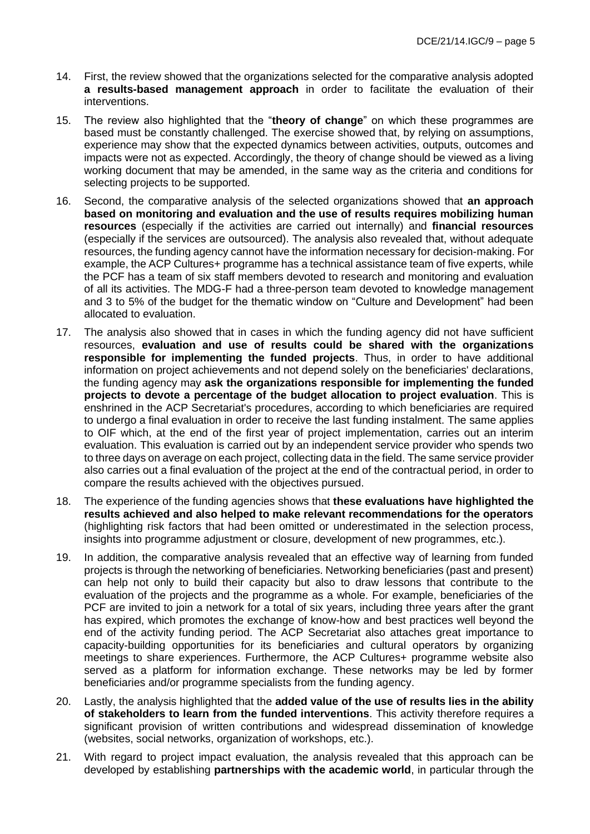- 14. First, the review showed that the organizations selected for the comparative analysis adopted **a results-based management approach** in order to facilitate the evaluation of their interventions.
- 15. The review also highlighted that the "**theory of change**" on which these programmes are based must be constantly challenged. The exercise showed that, by relying on assumptions, experience may show that the expected dynamics between activities, outputs, outcomes and impacts were not as expected. Accordingly, the theory of change should be viewed as a living working document that may be amended, in the same way as the criteria and conditions for selecting projects to be supported.
- 16. Second, the comparative analysis of the selected organizations showed that **an approach based on monitoring and evaluation and the use of results requires mobilizing human resources** (especially if the activities are carried out internally) and **financial resources** (especially if the services are outsourced). The analysis also revealed that, without adequate resources, the funding agency cannot have the information necessary for decision-making. For example, the ACP Cultures+ programme has a technical assistance team of five experts, while the PCF has a team of six staff members devoted to research and monitoring and evaluation of all its activities. The MDG-F had a three-person team devoted to knowledge management and 3 to 5% of the budget for the thematic window on "Culture and Development" had been allocated to evaluation.
- 17. The analysis also showed that in cases in which the funding agency did not have sufficient resources, **evaluation and use of results could be shared with the organizations responsible for implementing the funded projects**. Thus, in order to have additional information on project achievements and not depend solely on the beneficiaries' declarations, the funding agency may **ask the organizations responsible for implementing the funded projects to devote a percentage of the budget allocation to project evaluation**. This is enshrined in the ACP Secretariat's procedures, according to which beneficiaries are required to undergo a final evaluation in order to receive the last funding instalment. The same applies to OIF which, at the end of the first year of project implementation, carries out an interim evaluation. This evaluation is carried out by an independent service provider who spends two to three days on average on each project, collecting data in the field. The same service provider also carries out a final evaluation of the project at the end of the contractual period, in order to compare the results achieved with the objectives pursued.
- 18. The experience of the funding agencies shows that **these evaluations have highlighted the results achieved and also helped to make relevant recommendations for the operators** (highlighting risk factors that had been omitted or underestimated in the selection process, insights into programme adjustment or closure, development of new programmes, etc.).
- 19. In addition, the comparative analysis revealed that an effective way of learning from funded projects is through the networking of beneficiaries. Networking beneficiaries (past and present) can help not only to build their capacity but also to draw lessons that contribute to the evaluation of the projects and the programme as a whole. For example, beneficiaries of the PCF are invited to join a network for a total of six years, including three years after the grant has expired, which promotes the exchange of know-how and best practices well beyond the end of the activity funding period. The ACP Secretariat also attaches great importance to capacity-building opportunities for its beneficiaries and cultural operators by organizing meetings to share experiences. Furthermore, the ACP Cultures+ programme website also served as a platform for information exchange. These networks may be led by former beneficiaries and/or programme specialists from the funding agency.
- 20. Lastly, the analysis highlighted that the **added value of the use of results lies in the ability of stakeholders to learn from the funded interventions**. This activity therefore requires a significant provision of written contributions and widespread dissemination of knowledge (websites, social networks, organization of workshops, etc.).
- 21. With regard to project impact evaluation, the analysis revealed that this approach can be developed by establishing **partnerships with the academic world**, in particular through the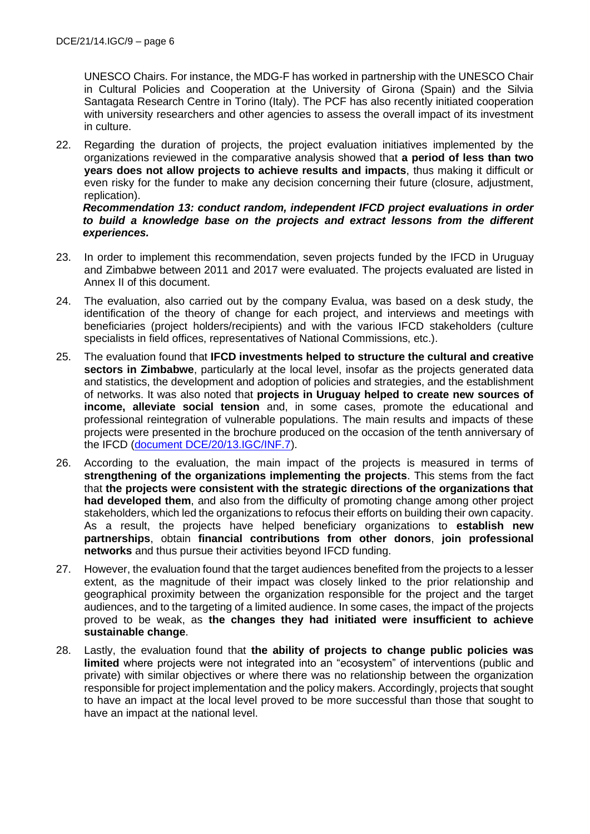UNESCO Chairs. For instance, the MDG-F has worked in partnership with the UNESCO Chair in Cultural Policies and Cooperation at the University of Girona (Spain) and the Silvia Santagata Research Centre in Torino (Italy). The PCF has also recently initiated cooperation with university researchers and other agencies to assess the overall impact of its investment in culture.

22. Regarding the duration of projects, the project evaluation initiatives implemented by the organizations reviewed in the comparative analysis showed that **a period of less than two years does not allow projects to achieve results and impacts**, thus making it difficult or even risky for the funder to make any decision concerning their future (closure, adjustment, replication).

*Recommendation 13: conduct random, independent IFCD project evaluations in order to build a knowledge base on the projects and extract lessons from the different experiences.*

- 23. In order to implement this recommendation, seven projects funded by the IFCD in Uruguay and Zimbabwe between 2011 and 2017 were evaluated. The projects evaluated are listed in Annex II of this document.
- 24. The evaluation, also carried out by the company Evalua, was based on a desk study, the identification of the theory of change for each project, and interviews and meetings with beneficiaries (project holders/recipients) and with the various IFCD stakeholders (culture specialists in field offices, representatives of National Commissions, etc.).
- 25. The evaluation found that **IFCD investments helped to structure the cultural and creative sectors in Zimbabwe**, particularly at the local level, insofar as the projects generated data and statistics, the development and adoption of policies and strategies, and the establishment of networks. It was also noted that **projects in Uruguay helped to create new sources of income, alleviate social tension** and, in some cases, promote the educational and professional reintegration of vulnerable populations. The main results and impacts of these projects were presented in the brochure produced on the occasion of the tenth anniversary of the IFCD [\(document DCE/20/13.IGC/INF.7\)](https://en.unesco.org/creativity/sites/creativity/files/ifcdbrochure-10years-en_web_0.pdf).
- 26. According to the evaluation, the main impact of the projects is measured in terms of **strengthening of the organizations implementing the projects**. This stems from the fact that **the projects were consistent with the strategic directions of the organizations that had developed them**, and also from the difficulty of promoting change among other project stakeholders, which led the organizations to refocus their efforts on building their own capacity. As a result, the projects have helped beneficiary organizations to **establish new partnerships**, obtain **financial contributions from other donors**, **join professional networks** and thus pursue their activities beyond IFCD funding.
- 27. However, the evaluation found that the target audiences benefited from the projects to a lesser extent, as the magnitude of their impact was closely linked to the prior relationship and geographical proximity between the organization responsible for the project and the target audiences, and to the targeting of a limited audience. In some cases, the impact of the projects proved to be weak, as **the changes they had initiated were insufficient to achieve sustainable change**.
- 28. Lastly, the evaluation found that **the ability of projects to change public policies was limited** where projects were not integrated into an "ecosystem" of interventions (public and private) with similar objectives or where there was no relationship between the organization responsible for project implementation and the policy makers. Accordingly, projects that sought to have an impact at the local level proved to be more successful than those that sought to have an impact at the national level.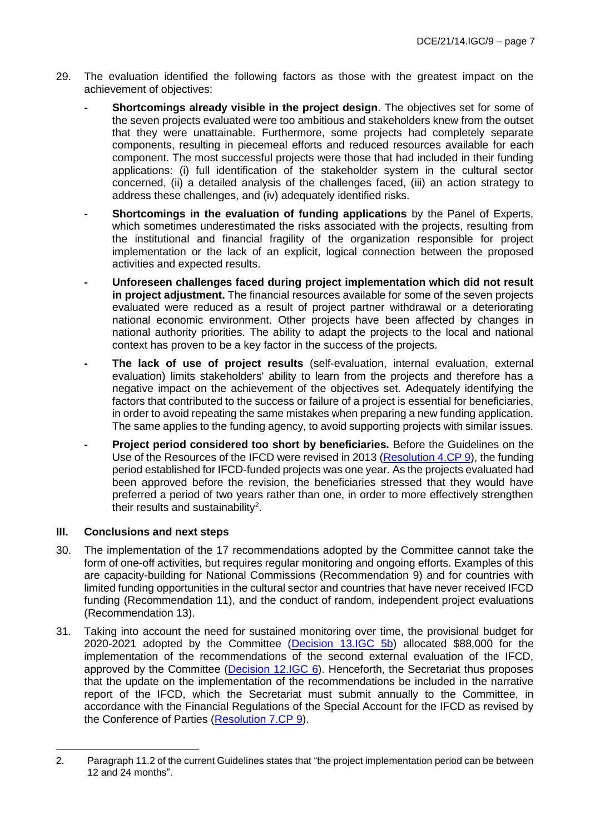- 29. The evaluation identified the following factors as those with the greatest impact on the achievement of objectives:
	- **- Shortcomings already visible in the project design**. The objectives set for some of the seven projects evaluated were too ambitious and stakeholders knew from the outset that they were unattainable. Furthermore, some projects had completely separate components, resulting in piecemeal efforts and reduced resources available for each component. The most successful projects were those that had included in their funding applications: (i) full identification of the stakeholder system in the cultural sector concerned, (ii) a detailed analysis of the challenges faced, (iii) an action strategy to address these challenges, and (iv) adequately identified risks.
	- **- Shortcomings in the evaluation of funding applications** by the Panel of Experts, which sometimes underestimated the risks associated with the projects, resulting from the institutional and financial fragility of the organization responsible for project implementation or the lack of an explicit, logical connection between the proposed activities and expected results.
	- **- Unforeseen challenges faced during project implementation which did not result in project adjustment.** The financial resources available for some of the seven projects evaluated were reduced as a result of project partner withdrawal or a deteriorating national economic environment. Other projects have been affected by changes in national authority priorities. The ability to adapt the projects to the local and national context has proven to be a key factor in the success of the projects.
	- **- The lack of use of project results** (self-evaluation, internal evaluation, external evaluation) limits stakeholders' ability to learn from the projects and therefore has a negative impact on the achievement of the objectives set. Adequately identifying the factors that contributed to the success or failure of a project is essential for beneficiaries, in order to avoid repeating the same mistakes when preparing a new funding application. The same applies to the funding agency, to avoid supporting projects with similar issues.
	- **- Project period considered too short by beneficiaries.** Before the Guidelines on the Use of the Resources of the IFCD were revised in 2013 [\(Resolution 4.CP 9\)](https://en.unesco.org/creativity/sites/creativity/files/sessions/221795e.pdf), the funding period established for IFCD-funded projects was one year. As the projects evaluated had been approved before the revision, the beneficiaries stressed that they would have preferred a period of two years rather than one, in order to more effectively strengthen their results and sustainability<sup>2</sup>.

# **III. Conclusions and next steps**

- 30. The implementation of the 17 recommendations adopted by the Committee cannot take the form of one-off activities, but requires regular monitoring and ongoing efforts. Examples of this are capacity-building for National Commissions (Recommendation 9) and for countries with limited funding opportunities in the cultural sector and countries that have never received IFCD funding (Recommendation 11), and the conduct of random, independent project evaluations (Recommendation 13).
- 31. Taking into account the need for sustained monitoring over time, the provisional budget for 2020-2021 adopted by the Committee [\(Decision 13.IGC 5b\)](https://en.unesco.org/creativity/sites/creativity/files/sessions/13igc_decisions_en.pdf) allocated \$88,000 for the implementation of the recommendations of the second external evaluation of the IFCD, approved by the Committee [\(Decision 12.IGC 6\)](https://en.unesco.org/creativity/sites/creativity/files/12igc_decisions_en.pdf). Henceforth, the Secretariat thus proposes that the update on the implementation of the recommendations be included in the narrative report of the IFCD, which the Secretariat must submit annually to the Committee, in accordance with the Financial Regulations of the Special Account for the IFCD as revised by the Conference of Parties [\(Resolution 7.CP 9\)](https://en.unesco.org/creativity/sites/creativity/files/sessions/7cp_resolutions_en.pdf).

<sup>2.</sup> Paragraph 11.2 of the current Guidelines states that "the project implementation period can be between 12 and 24 months".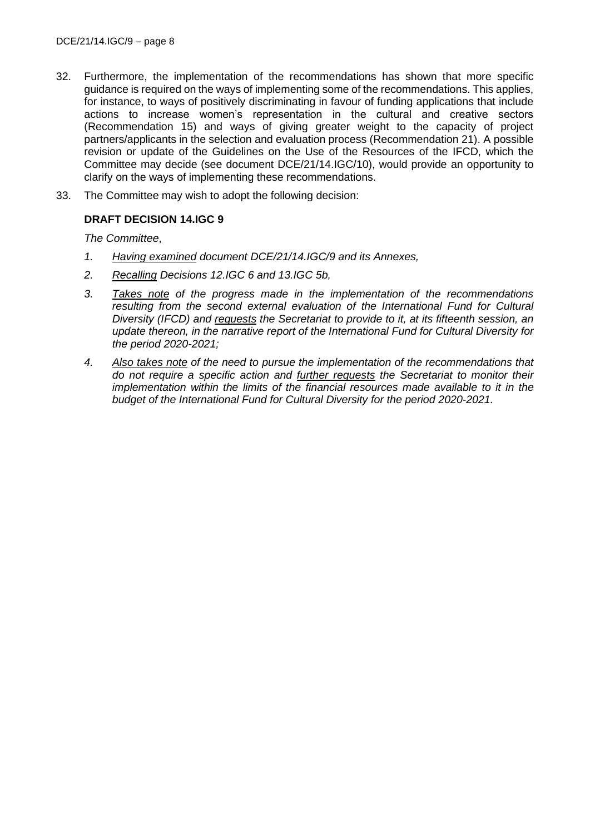- 32. Furthermore, the implementation of the recommendations has shown that more specific guidance is required on the ways of implementing some of the recommendations. This applies, for instance, to ways of positively discriminating in favour of funding applications that include actions to increase women's representation in the cultural and creative sectors (Recommendation 15) and ways of giving greater weight to the capacity of project partners/applicants in the selection and evaluation process (Recommendation 21). A possible revision or update of the Guidelines on the Use of the Resources of the IFCD, which the Committee may decide (see document DCE/21/14.IGC/10), would provide an opportunity to clarify on the ways of implementing these recommendations.
- 33. The Committee may wish to adopt the following decision:

# **DRAFT DECISION 14.IGC 9**

*The Committee*,

- *1. Having examined document DCE/21/14.IGC/9 and its Annexes,*
- *2. Recalling Decisions 12.IGC 6 and 13.IGC 5b,*
- *3. Takes note of the progress made in the implementation of the recommendations resulting from the second external evaluation of the International Fund for Cultural Diversity (IFCD) and requests the Secretariat to provide to it, at its fifteenth session, an update thereon, in the narrative report of the International Fund for Cultural Diversity for the period 2020-2021;*
- *4. Also takes note of the need to pursue the implementation of the recommendations that do not require a specific action and further requests the Secretariat to monitor their implementation within the limits of the financial resources made available to it in the budget of the International Fund for Cultural Diversity for the period 2020-2021.*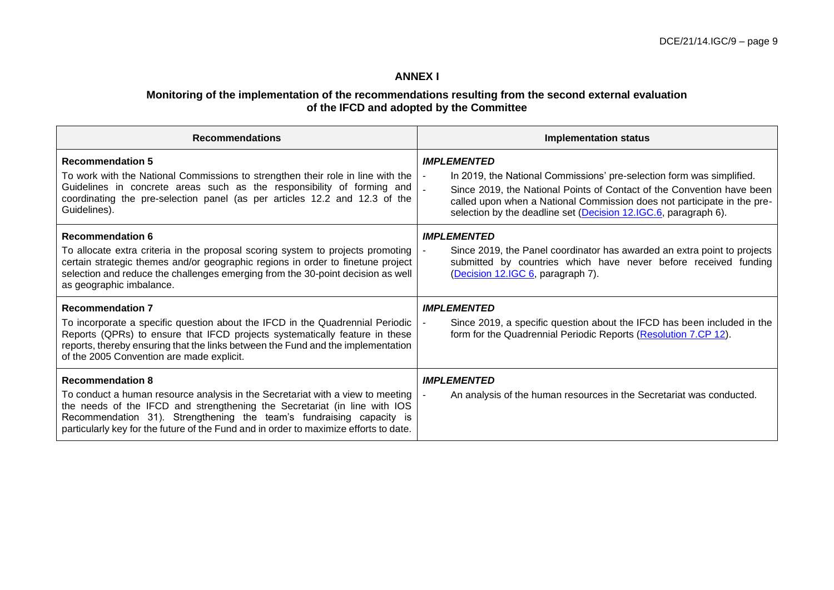# **ANNEX I**

#### **Monitoring of the implementation of the recommendations resulting from the second external evaluation of the IFCD and adopted by the Committee**

| <b>Recommendations</b>                                                                                                                                                                                                                                                                                                                                  | <b>Implementation status</b>                                                                                                                                                                                                                                                                                                          |  |  |
|---------------------------------------------------------------------------------------------------------------------------------------------------------------------------------------------------------------------------------------------------------------------------------------------------------------------------------------------------------|---------------------------------------------------------------------------------------------------------------------------------------------------------------------------------------------------------------------------------------------------------------------------------------------------------------------------------------|--|--|
| <b>Recommendation 5</b><br>To work with the National Commissions to strengthen their role in line with the<br>Guidelines in concrete areas such as the responsibility of forming and<br>coordinating the pre-selection panel (as per articles 12.2 and 12.3 of the<br>Guidelines).                                                                      | <b>IMPLEMENTED</b><br>In 2019, the National Commissions' pre-selection form was simplified.<br>$\blacksquare$<br>Since 2019, the National Points of Contact of the Convention have been<br>called upon when a National Commission does not participate in the pre-<br>selection by the deadline set (Decision 12.IGC.6, paragraph 6). |  |  |
| <b>Recommendation 6</b><br>To allocate extra criteria in the proposal scoring system to projects promoting<br>certain strategic themes and/or geographic regions in order to finetune project<br>selection and reduce the challenges emerging from the 30-point decision as well<br>as geographic imbalance.                                            | <b>IMPLEMENTED</b><br>Since 2019, the Panel coordinator has awarded an extra point to projects<br>submitted by countries which have never before received funding<br>(Decision 12.IGC 6, paragraph 7).                                                                                                                                |  |  |
| <b>Recommendation 7</b><br>To incorporate a specific question about the IFCD in the Quadrennial Periodic<br>Reports (QPRs) to ensure that IFCD projects systematically feature in these<br>reports, thereby ensuring that the links between the Fund and the implementation<br>of the 2005 Convention are made explicit.                                | <b>IMPLEMENTED</b><br>Since 2019, a specific question about the IFCD has been included in the<br>form for the Quadrennial Periodic Reports (Resolution 7.CP 12).                                                                                                                                                                      |  |  |
| <b>Recommendation 8</b><br>To conduct a human resource analysis in the Secretariat with a view to meeting<br>the needs of the IFCD and strengthening the Secretariat (in line with IOS<br>Recommendation 31). Strengthening the team's fundraising capacity is<br>particularly key for the future of the Fund and in order to maximize efforts to date. | <b>IMPLEMENTED</b><br>An analysis of the human resources in the Secretariat was conducted.                                                                                                                                                                                                                                            |  |  |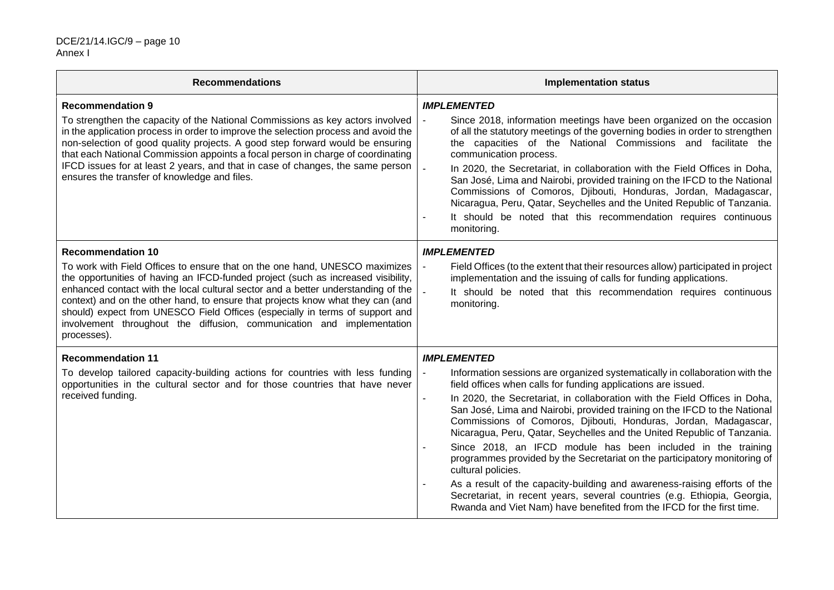| <b>Recommendations</b>                                                                                                                                                                                                                                                                                                                                                                                                                                                                                                                        | <b>Implementation status</b>                                                                                                                                                                                                                                                                                                                                                                                                                                                                                                                                                                                                                                                                                                                                                                                                                                                                       |  |  |  |
|-----------------------------------------------------------------------------------------------------------------------------------------------------------------------------------------------------------------------------------------------------------------------------------------------------------------------------------------------------------------------------------------------------------------------------------------------------------------------------------------------------------------------------------------------|----------------------------------------------------------------------------------------------------------------------------------------------------------------------------------------------------------------------------------------------------------------------------------------------------------------------------------------------------------------------------------------------------------------------------------------------------------------------------------------------------------------------------------------------------------------------------------------------------------------------------------------------------------------------------------------------------------------------------------------------------------------------------------------------------------------------------------------------------------------------------------------------------|--|--|--|
| <b>Recommendation 9</b><br>To strengthen the capacity of the National Commissions as key actors involved<br>in the application process in order to improve the selection process and avoid the<br>non-selection of good quality projects. A good step forward would be ensuring<br>that each National Commission appoints a focal person in charge of coordinating<br>IFCD issues for at least 2 years, and that in case of changes, the same person<br>ensures the transfer of knowledge and files.                                          | <b>IMPLEMENTED</b><br>Since 2018, information meetings have been organized on the occasion<br>$\blacksquare$<br>of all the statutory meetings of the governing bodies in order to strengthen<br>the capacities of the National Commissions and facilitate the<br>communication process.<br>$\mathbb{Z}^2$<br>In 2020, the Secretariat, in collaboration with the Field Offices in Doha,<br>San José, Lima and Nairobi, provided training on the IFCD to the National<br>Commissions of Comoros, Djibouti, Honduras, Jordan, Madagascar,<br>Nicaragua, Peru, Qatar, Seychelles and the United Republic of Tanzania.<br>It should be noted that this recommendation requires continuous<br>monitoring.                                                                                                                                                                                               |  |  |  |
| <b>Recommendation 10</b><br>To work with Field Offices to ensure that on the one hand, UNESCO maximizes<br>the opportunities of having an IFCD-funded project (such as increased visibility,<br>enhanced contact with the local cultural sector and a better understanding of the<br>context) and on the other hand, to ensure that projects know what they can (and<br>should) expect from UNESCO Field Offices (especially in terms of support and<br>involvement throughout the diffusion, communication and implementation<br>processes). | <b>IMPLEMENTED</b><br>Field Offices (to the extent that their resources allow) participated in project<br>$\blacksquare$<br>implementation and the issuing of calls for funding applications.<br>$\mathbb{Z}^2$<br>It should be noted that this recommendation requires continuous<br>monitoring.                                                                                                                                                                                                                                                                                                                                                                                                                                                                                                                                                                                                  |  |  |  |
| <b>Recommendation 11</b><br>To develop tailored capacity-building actions for countries with less funding<br>opportunities in the cultural sector and for those countries that have never<br>received funding.                                                                                                                                                                                                                                                                                                                                | <b>IMPLEMENTED</b><br>$\blacksquare$<br>Information sessions are organized systematically in collaboration with the<br>field offices when calls for funding applications are issued.<br>In 2020, the Secretariat, in collaboration with the Field Offices in Doha,<br>San José, Lima and Nairobi, provided training on the IFCD to the National<br>Commissions of Comoros, Djibouti, Honduras, Jordan, Madagascar,<br>Nicaragua, Peru, Qatar, Seychelles and the United Republic of Tanzania.<br>Since 2018, an IFCD module has been included in the training<br>programmes provided by the Secretariat on the participatory monitoring of<br>cultural policies.<br>As a result of the capacity-building and awareness-raising efforts of the<br>Secretariat, in recent years, several countries (e.g. Ethiopia, Georgia,<br>Rwanda and Viet Nam) have benefited from the IFCD for the first time. |  |  |  |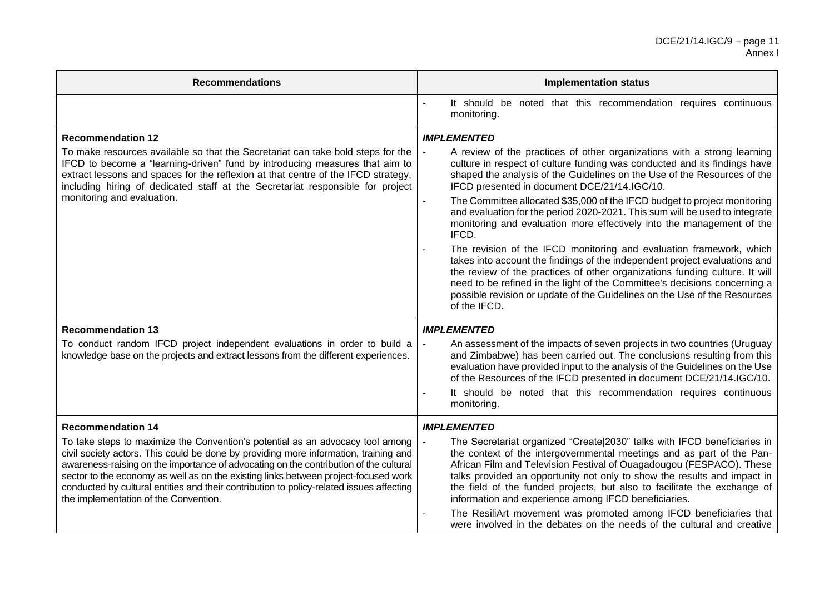| <b>Recommendations</b>                                                                                                                                                                                                                                                                                                                                                                                                                                                                                                  | <b>Implementation status</b>                                                                                                                                                                                                                                                                                                                                                                                                                                                                                                                                                                                                                                                                                                                                                                                                                                                                                                                                                         |  |  |  |
|-------------------------------------------------------------------------------------------------------------------------------------------------------------------------------------------------------------------------------------------------------------------------------------------------------------------------------------------------------------------------------------------------------------------------------------------------------------------------------------------------------------------------|--------------------------------------------------------------------------------------------------------------------------------------------------------------------------------------------------------------------------------------------------------------------------------------------------------------------------------------------------------------------------------------------------------------------------------------------------------------------------------------------------------------------------------------------------------------------------------------------------------------------------------------------------------------------------------------------------------------------------------------------------------------------------------------------------------------------------------------------------------------------------------------------------------------------------------------------------------------------------------------|--|--|--|
|                                                                                                                                                                                                                                                                                                                                                                                                                                                                                                                         | It should be noted that this recommendation requires continuous<br>monitoring.                                                                                                                                                                                                                                                                                                                                                                                                                                                                                                                                                                                                                                                                                                                                                                                                                                                                                                       |  |  |  |
| <b>Recommendation 12</b><br>To make resources available so that the Secretariat can take bold steps for the<br>IFCD to become a "learning-driven" fund by introducing measures that aim to<br>extract lessons and spaces for the reflexion at that centre of the IFCD strategy,<br>including hiring of dedicated staff at the Secretariat responsible for project<br>monitoring and evaluation.                                                                                                                         | <b>IMPLEMENTED</b><br>A review of the practices of other organizations with a strong learning<br>culture in respect of culture funding was conducted and its findings have<br>shaped the analysis of the Guidelines on the Use of the Resources of the<br>IFCD presented in document DCE/21/14.IGC/10.<br>The Committee allocated \$35,000 of the IFCD budget to project monitoring<br>$\blacksquare$<br>and evaluation for the period 2020-2021. This sum will be used to integrate<br>monitoring and evaluation more effectively into the management of the<br>IFCD.<br>The revision of the IFCD monitoring and evaluation framework, which<br>takes into account the findings of the independent project evaluations and<br>the review of the practices of other organizations funding culture. It will<br>need to be refined in the light of the Committee's decisions concerning a<br>possible revision or update of the Guidelines on the Use of the Resources<br>of the IFCD. |  |  |  |
| <b>Recommendation 13</b><br>To conduct random IFCD project independent evaluations in order to build a<br>knowledge base on the projects and extract lessons from the different experiences.                                                                                                                                                                                                                                                                                                                            | <b>IMPLEMENTED</b><br>An assessment of the impacts of seven projects in two countries (Uruguay<br>$\blacksquare$<br>and Zimbabwe) has been carried out. The conclusions resulting from this<br>evaluation have provided input to the analysis of the Guidelines on the Use<br>of the Resources of the IFCD presented in document DCE/21/14.IGC/10.<br>It should be noted that this recommendation requires continuous<br>monitoring.                                                                                                                                                                                                                                                                                                                                                                                                                                                                                                                                                 |  |  |  |
| <b>Recommendation 14</b><br>To take steps to maximize the Convention's potential as an advocacy tool among<br>civil society actors. This could be done by providing more information, training and<br>awareness-raising on the importance of advocating on the contribution of the cultural<br>sector to the economy as well as on the existing links between project-focused work<br>conducted by cultural entities and their contribution to policy-related issues affecting<br>the implementation of the Convention. | <b>IMPLEMENTED</b><br>The Secretariat organized "Create 2030" talks with IFCD beneficiaries in<br>$\overline{a}$<br>the context of the intergovernmental meetings and as part of the Pan-<br>African Film and Television Festival of Ouagadougou (FESPACO). These<br>talks provided an opportunity not only to show the results and impact in<br>the field of the funded projects, but also to facilitate the exchange of<br>information and experience among IFCD beneficiaries.<br>The ResiliArt movement was promoted among IFCD beneficiaries that<br>were involved in the debates on the needs of the cultural and creative                                                                                                                                                                                                                                                                                                                                                     |  |  |  |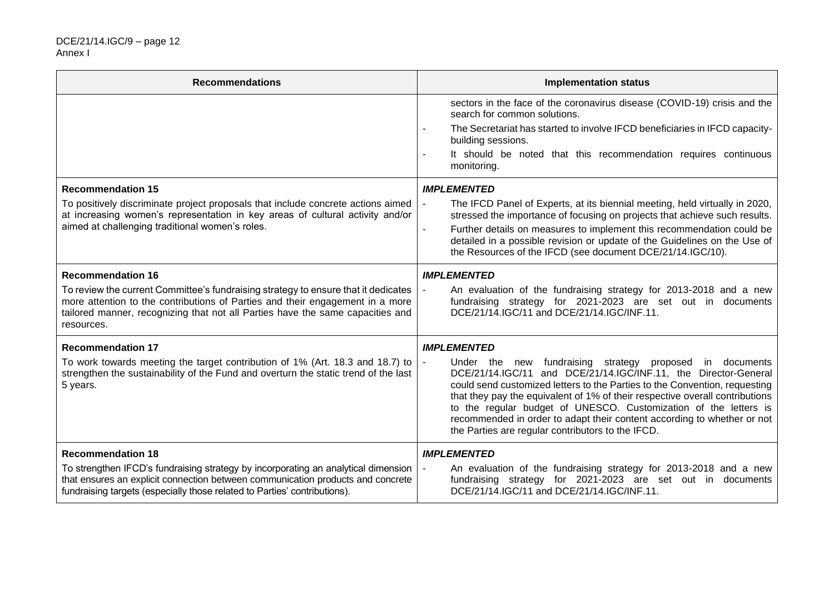| <b>Recommendations</b>                                                                                                                                                                                                                                              | <b>Implementation status</b>                                                                                                                                                                                                                                                                                                                                                                                                                                                                                       |  |  |  |
|---------------------------------------------------------------------------------------------------------------------------------------------------------------------------------------------------------------------------------------------------------------------|--------------------------------------------------------------------------------------------------------------------------------------------------------------------------------------------------------------------------------------------------------------------------------------------------------------------------------------------------------------------------------------------------------------------------------------------------------------------------------------------------------------------|--|--|--|
|                                                                                                                                                                                                                                                                     | sectors in the face of the coronavirus disease (COVID-19) crisis and the<br>search for common solutions.<br>The Secretariat has started to involve IFCD beneficiaries in IFCD capacity-<br>$\blacksquare$<br>building sessions.<br>It should be noted that this recommendation requires continuous<br>monitoring.                                                                                                                                                                                                  |  |  |  |
| <b>Recommendation 15</b>                                                                                                                                                                                                                                            | <b>IMPLEMENTED</b>                                                                                                                                                                                                                                                                                                                                                                                                                                                                                                 |  |  |  |
| To positively discriminate project proposals that include concrete actions aimed<br>at increasing women's representation in key areas of cultural activity and/or<br>aimed at challenging traditional women's roles.                                                | The IFCD Panel of Experts, at its biennial meeting, held virtually in 2020,<br>$\blacksquare$<br>stressed the importance of focusing on projects that achieve such results.<br>Further details on measures to implement this recommendation could be<br>detailed in a possible revision or update of the Guidelines on the Use of<br>the Resources of the IFCD (see document DCE/21/14.IGC/10).                                                                                                                    |  |  |  |
| <b>Recommendation 16</b>                                                                                                                                                                                                                                            | <b>IMPLEMENTED</b>                                                                                                                                                                                                                                                                                                                                                                                                                                                                                                 |  |  |  |
| To review the current Committee's fundraising strategy to ensure that it dedicates<br>more attention to the contributions of Parties and their engagement in a more<br>tailored manner, recognizing that not all Parties have the same capacities and<br>resources. | An evaluation of the fundraising strategy for 2013-2018 and a new<br>fundraising strategy for 2021-2023 are set out in documents<br>DCE/21/14.IGC/11 and DCE/21/14.IGC/INF.11.                                                                                                                                                                                                                                                                                                                                     |  |  |  |
| <b>Recommendation 17</b>                                                                                                                                                                                                                                            | <b>IMPLEMENTED</b>                                                                                                                                                                                                                                                                                                                                                                                                                                                                                                 |  |  |  |
| To work towards meeting the target contribution of 1% (Art. 18.3 and 18.7) to<br>strengthen the sustainability of the Fund and overturn the static trend of the last<br>5 years.                                                                                    | Under the new fundraising strategy proposed<br>$\blacksquare$<br>in documents<br>DCE/21/14.IGC/11 and DCE/21/14.IGC/INF.11, the Director-General<br>could send customized letters to the Parties to the Convention, requesting<br>that they pay the equivalent of 1% of their respective overall contributions<br>to the regular budget of UNESCO. Customization of the letters is<br>recommended in order to adapt their content according to whether or not<br>the Parties are regular contributors to the IFCD. |  |  |  |
| <b>Recommendation 18</b>                                                                                                                                                                                                                                            | <b>IMPLEMENTED</b>                                                                                                                                                                                                                                                                                                                                                                                                                                                                                                 |  |  |  |
| To strengthen IFCD's fundraising strategy by incorporating an analytical dimension<br>that ensures an explicit connection between communication products and concrete<br>fundraising targets (especially those related to Parties' contributions).                  | $\blacksquare$<br>An evaluation of the fundraising strategy for 2013-2018 and a new<br>fundraising strategy for 2021-2023 are set out in documents<br>DCE/21/14.IGC/11 and DCE/21/14.IGC/INF.11.                                                                                                                                                                                                                                                                                                                   |  |  |  |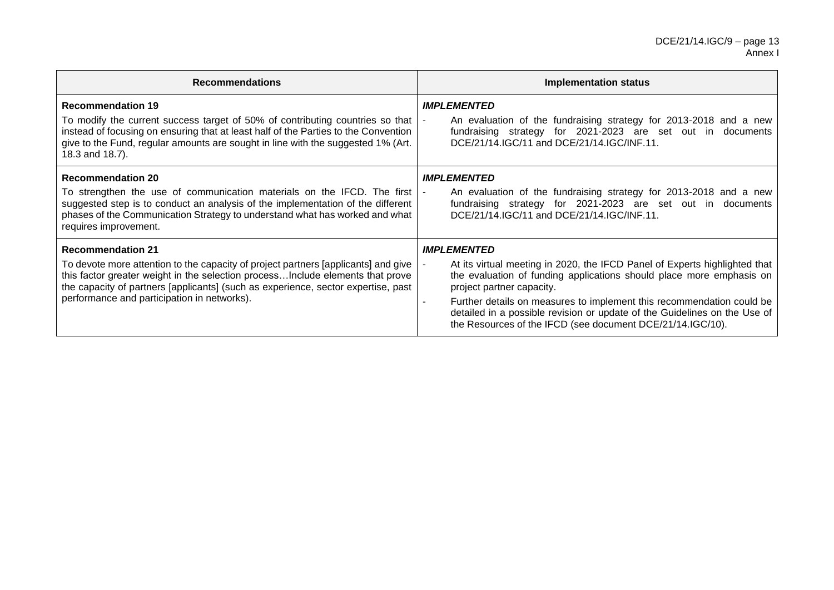| <b>Recommendations</b>                                                                                                                                                                                                                                                                                                               | Implementation status                                                                                                                                                                                                                                                                                                                                                                                                     |  |  |
|--------------------------------------------------------------------------------------------------------------------------------------------------------------------------------------------------------------------------------------------------------------------------------------------------------------------------------------|---------------------------------------------------------------------------------------------------------------------------------------------------------------------------------------------------------------------------------------------------------------------------------------------------------------------------------------------------------------------------------------------------------------------------|--|--|
| <b>Recommendation 19</b><br>To modify the current success target of 50% of contributing countries so that<br>instead of focusing on ensuring that at least half of the Parties to the Convention<br>give to the Fund, regular amounts are sought in line with the suggested 1% (Art.<br>18.3 and 18.7).                              | <b>IMPLEMENTED</b><br>An evaluation of the fundraising strategy for 2013-2018 and a new<br>fundraising strategy for 2021-2023 are set out in documents<br>DCE/21/14.IGC/11 and DCE/21/14.IGC/INF.11.                                                                                                                                                                                                                      |  |  |
| <b>Recommendation 20</b><br>To strengthen the use of communication materials on the IFCD. The first<br>suggested step is to conduct an analysis of the implementation of the different<br>phases of the Communication Strategy to understand what has worked and what<br>requires improvement.                                       | <b>IMPLEMENTED</b><br>An evaluation of the fundraising strategy for 2013-2018 and a new<br>fundraising strategy for 2021-2023 are set out in documents<br>DCE/21/14.IGC/11 and DCE/21/14.IGC/INF.11.                                                                                                                                                                                                                      |  |  |
| <b>Recommendation 21</b><br>To devote more attention to the capacity of project partners [applicants] and give<br>this factor greater weight in the selection processInclude elements that prove<br>the capacity of partners [applicants] (such as experience, sector expertise, past<br>performance and participation in networks). | <b>IMPLEMENTED</b><br>At its virtual meeting in 2020, the IFCD Panel of Experts highlighted that<br>the evaluation of funding applications should place more emphasis on<br>project partner capacity.<br>Further details on measures to implement this recommendation could be<br>detailed in a possible revision or update of the Guidelines on the Use of<br>the Resources of the IFCD (see document DCE/21/14.IGC/10). |  |  |